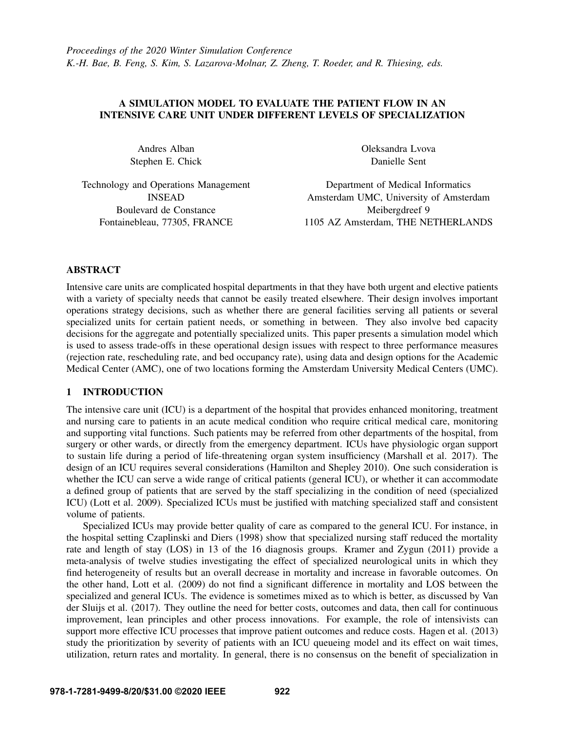# A SIMULATION MODEL TO EVALUATE THE PATIENT FLOW IN AN INTENSIVE CARE UNIT UNDER DIFFERENT LEVELS OF SPECIALIZATION

Andres Alban Stephen E. Chick Oleksandra Lvova Danielle Sent

Technology and Operations Management INSEAD Boulevard de Constance Fontainebleau, 77305, FRANCE

Department of Medical Informatics Amsterdam UMC, University of Amsterdam Meibergdreef 9 1105 AZ Amsterdam, THE NETHERLANDS

## ABSTRACT

Intensive care units are complicated hospital departments in that they have both urgent and elective patients with a variety of specialty needs that cannot be easily treated elsewhere. Their design involves important operations strategy decisions, such as whether there are general facilities serving all patients or several specialized units for certain patient needs, or something in between. They also involve bed capacity decisions for the aggregate and potentially specialized units. This paper presents a simulation model which is used to assess trade-offs in these operational design issues with respect to three performance measures (rejection rate, rescheduling rate, and bed occupancy rate), using data and design options for the Academic Medical Center (AMC), one of two locations forming the Amsterdam University Medical Centers (UMC).

## 1 INTRODUCTION

The intensive care unit (ICU) is a department of the hospital that provides enhanced monitoring, treatment and nursing care to patients in an acute medical condition who require critical medical care, monitoring and supporting vital functions. Such patients may be referred from other departments of the hospital, from surgery or other wards, or directly from the emergency department. ICUs have physiologic organ support to sustain life during a period of life-threatening organ system insufficiency [\(Marshall et al. 2017\)](#page-11-0). The design of an ICU requires several considerations [\(Hamilton and Shepley 2010\)](#page-10-0). One such consideration is whether the ICU can serve a wide range of critical patients (general ICU), or whether it can accommodate a defined group of patients that are served by the staff specializing in the condition of need (specialized ICU) [\(Lott et al. 2009\)](#page-11-1). Specialized ICUs must be justified with matching specialized staff and consistent volume of patients.

Specialized ICUs may provide better quality of care as compared to the general ICU. For instance, in the hospital setting [Czaplinski and Diers \(1998\)](#page-10-1) show that specialized nursing staff reduced the mortality rate and length of stay (LOS) in 13 of the 16 diagnosis groups. [Kramer and Zygun \(2011\)](#page-11-2) provide a meta-analysis of twelve studies investigating the effect of specialized neurological units in which they find heterogeneity of results but an overall decrease in mortality and increase in favorable outcomes. On the other hand, [Lott et al. \(2009\)](#page-11-1) do not find a significant difference in mortality and LOS between the specialized and general ICUs. The evidence is sometimes mixed as to which is better, as discussed by [Van](#page-11-3) [der Sluijs et al. \(2017\).](#page-11-3) They outline the need for better costs, outcomes and data, then call for continuous improvement, lean principles and other process innovations. For example, the role of intensivists can support more effective ICU processes that improve patient outcomes and reduce costs. [Hagen et al. \(2013\)](#page-10-2) study the prioritization by severity of patients with an ICU queueing model and its effect on wait times, utilization, return rates and mortality. In general, there is no consensus on the benefit of specialization in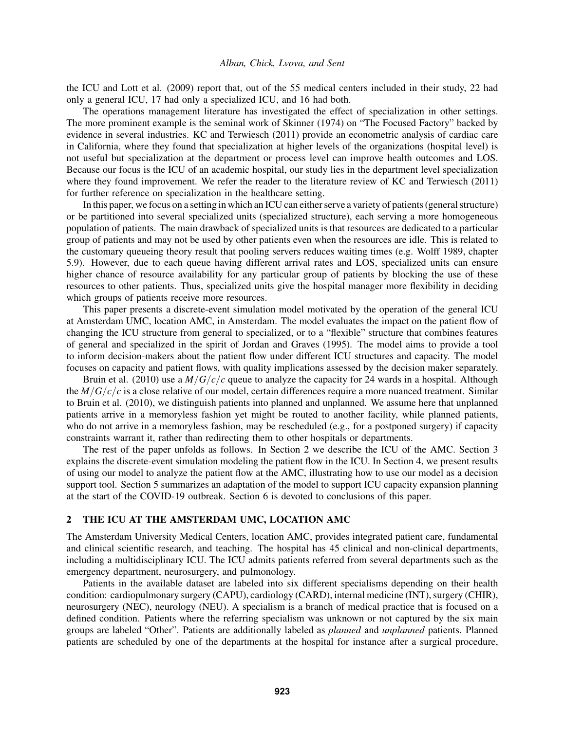the ICU and [Lott et al. \(2009\)](#page-11-1) report that, out of the 55 medical centers included in their study, 22 had only a general ICU, 17 had only a specialized ICU, and 16 had both.

The operations management literature has investigated the effect of specialization in other settings. The more prominent example is the seminal work of [Skinner \(1974\)](#page-11-4) on "The Focused Factory" backed by evidence in several industries. [KC and Terwiesch \(2011\)](#page-10-3) provide an econometric analysis of cardiac care in California, where they found that specialization at higher levels of the organizations (hospital level) is not useful but specialization at the department or process level can improve health outcomes and LOS. Because our focus is the ICU of an academic hospital, our study lies in the department level specialization where they found improvement. We refer the reader to the literature review of [KC and Terwiesch \(2011\)](#page-10-3) for further reference on specialization in the healthcare setting.

In this paper, we focus on a setting in which an ICU can either serve a variety of patients (general structure) or be partitioned into several specialized units (specialized structure), each serving a more homogeneous population of patients. The main drawback of specialized units is that resources are dedicated to a particular group of patients and may not be used by other patients even when the resources are idle. This is related to the customary queueing theory result that pooling servers reduces waiting times (e.g. [Wolff 1989,](#page-11-5) chapter 5.9). However, due to each queue having different arrival rates and LOS, specialized units can ensure higher chance of resource availability for any particular group of patients by blocking the use of these resources to other patients. Thus, specialized units give the hospital manager more flexibility in deciding which groups of patients receive more resources.

This paper presents a discrete-event simulation model motivated by the operation of the general ICU at Amsterdam UMC, location AMC, in Amsterdam. The model evaluates the impact on the patient flow of changing the ICU structure from general to specialized, or to a "flexible" structure that combines features of general and specialized in the spirit of [Jordan and Graves \(1995\).](#page-10-4) The model aims to provide a tool to inform decision-makers about the patient flow under different ICU structures and capacity. The model focuses on capacity and patient flows, with quality implications assessed by the decision maker separately.

[Bruin et al. \(2010\)](#page-10-5) use a *M*/*G*/*c*/*c* queue to analyze the capacity for 24 wards in a hospital. Although the  $M/G/c/c$  is a close relative of our model, certain differences require a more nuanced treatment. Similar to [Bruin et al. \(2010\),](#page-10-5) we distinguish patients into planned and unplanned. We assume here that unplanned patients arrive in a memoryless fashion yet might be routed to another facility, while planned patients, who do not arrive in a memoryless fashion, may be rescheduled (e.g., for a postponed surgery) if capacity constraints warrant it, rather than redirecting them to other hospitals or departments.

The rest of the paper unfolds as follows. In Section [2](#page-1-0) we describe the ICU of the AMC. Section [3](#page-2-0) explains the discrete-event simulation modeling the patient flow in the ICU. In Section [4,](#page-4-0) we present results of using our model to analyze the patient flow at the AMC, illustrating how to use our model as a decision support tool. Section [5](#page-9-0) summarizes an adaptation of the model to support ICU capacity expansion planning at the start of the COVID-19 outbreak. Section [6](#page-10-6) is devoted to conclusions of this paper.

## <span id="page-1-0"></span>2 THE ICU AT THE AMSTERDAM UMC, LOCATION AMC

The Amsterdam University Medical Centers, location AMC, provides integrated patient care, fundamental and clinical scientific research, and teaching. The hospital has 45 clinical and non-clinical departments, including a multidisciplinary ICU. The ICU admits patients referred from several departments such as the emergency department, neurosurgery, and pulmonology.

Patients in the available dataset are labeled into six different specialisms depending on their health condition: cardiopulmonary surgery (CAPU), cardiology (CARD), internal medicine (INT), surgery (CHIR), neurosurgery (NEC), neurology (NEU). A specialism is a branch of medical practice that is focused on a defined condition. Patients where the referring specialism was unknown or not captured by the six main groups are labeled "Other". Patients are additionally labeled as *planned* and *unplanned* patients. Planned patients are scheduled by one of the departments at the hospital for instance after a surgical procedure,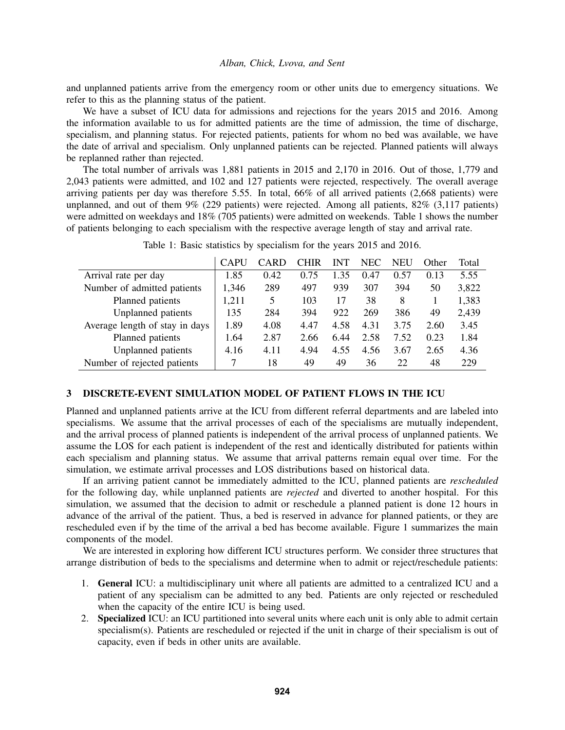and unplanned patients arrive from the emergency room or other units due to emergency situations. We refer to this as the planning status of the patient.

We have a subset of ICU data for admissions and rejections for the years 2015 and 2016. Among the information available to us for admitted patients are the time of admission, the time of discharge, specialism, and planning status. For rejected patients, patients for whom no bed was available, we have the date of arrival and specialism. Only unplanned patients can be rejected. Planned patients will always be replanned rather than rejected.

The total number of arrivals was 1,881 patients in 2015 and 2,170 in 2016. Out of those, 1,779 and 2,043 patients were admitted, and 102 and 127 patients were rejected, respectively. The overall average arriving patients per day was therefore 5.55. In total, 66% of all arrived patients (2,668 patients) were unplanned, and out of them 9% (229 patients) were rejected. Among all patients, 82% (3,117 patients) were admitted on weekdays and 18% (705 patients) were admitted on weekends. Table [1](#page-2-1) shows the number of patients belonging to each specialism with the respective average length of stay and arrival rate.

|                                | <b>CAPU</b> | CARD | CHIR | <b>INT</b> | <b>NEC</b> | NEU  | Other | Total |
|--------------------------------|-------------|------|------|------------|------------|------|-------|-------|
| Arrival rate per day           | 1.85        | 0.42 | 0.75 | 1.35       | 0.47       | 0.57 | 0.13  | 5.55  |
| Number of admitted patients    | 1,346       | 289  | 497  | 939        | 307        | 394  | 50    | 3,822 |
| Planned patients               | 1,211       | 5    | 103  | 17         | 38         | 8    |       | 1,383 |
| Unplanned patients             | 135         | 284  | 394  | 922        | 269        | 386  | 49    | 2,439 |
| Average length of stay in days | 1.89        | 4.08 | 4.47 | 4.58       | 4.31       | 3.75 | 2.60  | 3.45  |
| Planned patients               | 1.64        | 2.87 | 2.66 | 6.44       | 2.58       | 7.52 | 0.23  | 1.84  |
| Unplanned patients             | 4.16        | 4.11 | 4.94 | 4.55       | 4.56       | 3.67 | 2.65  | 4.36  |
| Number of rejected patients    | 7           | 18   | 49   | 49         | 36         | 22   | 48    | 229   |

<span id="page-2-1"></span>Table 1: Basic statistics by specialism for the years 2015 and 2016.

## <span id="page-2-0"></span>3 DISCRETE-EVENT SIMULATION MODEL OF PATIENT FLOWS IN THE ICU

Planned and unplanned patients arrive at the ICU from different referral departments and are labeled into specialisms. We assume that the arrival processes of each of the specialisms are mutually independent, and the arrival process of planned patients is independent of the arrival process of unplanned patients. We assume the LOS for each patient is independent of the rest and identically distributed for patients within each specialism and planning status. We assume that arrival patterns remain equal over time. For the simulation, we estimate arrival processes and LOS distributions based on historical data.

If an arriving patient cannot be immediately admitted to the ICU, planned patients are *rescheduled* for the following day, while unplanned patients are *rejected* and diverted to another hospital. For this simulation, we assumed that the decision to admit or reschedule a planned patient is done 12 hours in advance of the arrival of the patient. Thus, a bed is reserved in advance for planned patients, or they are rescheduled even if by the time of the arrival a bed has become available. Figure [1](#page-3-0) summarizes the main components of the model.

We are interested in exploring how different ICU structures perform. We consider three structures that arrange distribution of beds to the specialisms and determine when to admit or reject/reschedule patients:

- 1. General ICU: a multidisciplinary unit where all patients are admitted to a centralized ICU and a patient of any specialism can be admitted to any bed. Patients are only rejected or rescheduled when the capacity of the entire ICU is being used.
- 2. Specialized ICU: an ICU partitioned into several units where each unit is only able to admit certain specialism(s). Patients are rescheduled or rejected if the unit in charge of their specialism is out of capacity, even if beds in other units are available.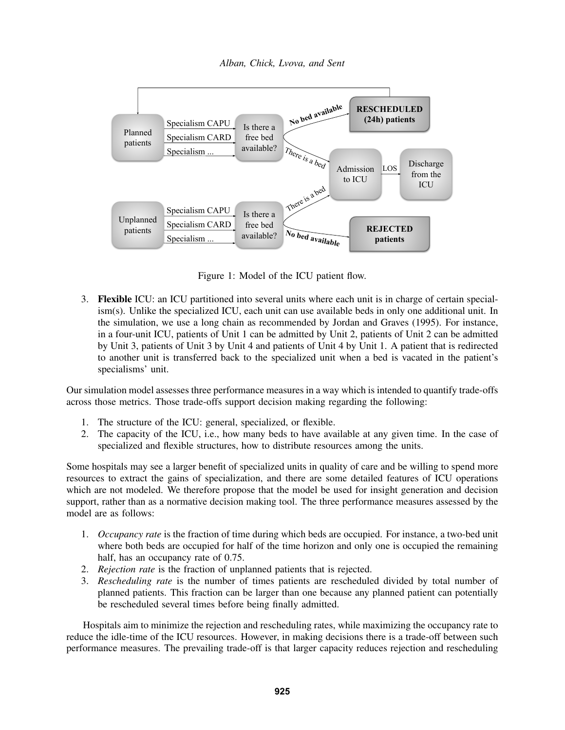*Alban, Chick, Lvova, and Sent*



<span id="page-3-0"></span>Figure 1: Model of the ICU patient flow.

3. Flexible ICU: an ICU partitioned into several units where each unit is in charge of certain specialism(s). Unlike the specialized ICU, each unit can use available beds in only one additional unit. In the simulation, we use a long chain as recommended by [Jordan and Graves \(1995\).](#page-10-4) For instance, in a four-unit ICU, patients of Unit 1 can be admitted by Unit 2, patients of Unit 2 can be admitted by Unit 3, patients of Unit 3 by Unit 4 and patients of Unit 4 by Unit 1. A patient that is redirected to another unit is transferred back to the specialized unit when a bed is vacated in the patient's specialisms' unit.

Our simulation model assesses three performance measures in a way which is intended to quantify trade-offs across those metrics. Those trade-offs support decision making regarding the following:

- 1. The structure of the ICU: general, specialized, or flexible.
- 2. The capacity of the ICU, i.e., how many beds to have available at any given time. In the case of specialized and flexible structures, how to distribute resources among the units.

Some hospitals may see a larger benefit of specialized units in quality of care and be willing to spend more resources to extract the gains of specialization, and there are some detailed features of ICU operations which are not modeled. We therefore propose that the model be used for insight generation and decision support, rather than as a normative decision making tool. The three performance measures assessed by the model are as follows:

- 1. *Occupancy rate* is the fraction of time during which beds are occupied. For instance, a two-bed unit where both beds are occupied for half of the time horizon and only one is occupied the remaining half, has an occupancy rate of 0.75.
- 2. *Rejection rate* is the fraction of unplanned patients that is rejected.
- 3. *Rescheduling rate* is the number of times patients are rescheduled divided by total number of planned patients. This fraction can be larger than one because any planned patient can potentially be rescheduled several times before being finally admitted.

Hospitals aim to minimize the rejection and rescheduling rates, while maximizing the occupancy rate to reduce the idle-time of the ICU resources. However, in making decisions there is a trade-off between such performance measures. The prevailing trade-off is that larger capacity reduces rejection and rescheduling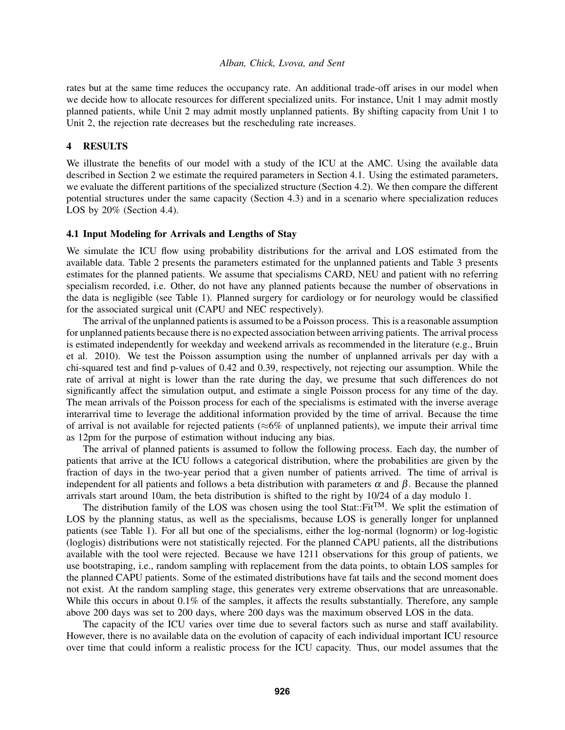rates but at the same time reduces the occupancy rate. An additional trade-off arises in our model when we decide how to allocate resources for different specialized units. For instance, Unit 1 may admit mostly planned patients, while Unit 2 may admit mostly unplanned patients. By shifting capacity from Unit 1 to Unit 2, the rejection rate decreases but the rescheduling rate increases.

## <span id="page-4-0"></span>4 RESULTS

We illustrate the benefits of our model with a study of the ICU at the AMC. Using the available data described in Section [2](#page-1-0) we estimate the required parameters in Section [4.1.](#page-4-1) Using the estimated parameters, we evaluate the different partitions of the specialized structure (Section [4.2\)](#page-5-0). We then compare the different potential structures under the same capacity (Section [4.3\)](#page-7-0) and in a scenario where specialization reduces LOS by 20% (Section [4.4\)](#page-8-0).

## <span id="page-4-1"></span>4.1 Input Modeling for Arrivals and Lengths of Stay

We simulate the ICU flow using probability distributions for the arrival and LOS estimated from the available data. Table [2](#page-5-1) presents the parameters estimated for the unplanned patients and Table [3](#page-5-2) presents estimates for the planned patients. We assume that specialisms CARD, NEU and patient with no referring specialism recorded, i.e. Other, do not have any planned patients because the number of observations in the data is negligible (see Table [1\)](#page-2-1). Planned surgery for cardiology or for neurology would be classified for the associated surgical unit (CAPU and NEC respectively).

The arrival of the unplanned patients is assumed to be a Poisson process. This is a reasonable assumption for unplanned patients because there is no expected association between arriving patients. The arrival process is estimated independently for weekday and weekend arrivals as recommended in the literature (e.g., [Bruin](#page-10-5) [et al. 2010\)](#page-10-5). We test the Poisson assumption using the number of unplanned arrivals per day with a chi-squared test and find p-values of 0.42 and 0.39, respectively, not rejecting our assumption. While the rate of arrival at night is lower than the rate during the day, we presume that such differences do not significantly affect the simulation output, and estimate a single Poisson process for any time of the day. The mean arrivals of the Poisson process for each of the specialisms is estimated with the inverse average interarrival time to leverage the additional information provided by the time of arrival. Because the time of arrival is not available for rejected patients ( $\approx 6\%$  of unplanned patients), we impute their arrival time as 12pm for the purpose of estimation without inducing any bias.

The arrival of planned patients is assumed to follow the following process. Each day, the number of patients that arrive at the ICU follows a categorical distribution, where the probabilities are given by the fraction of days in the two-year period that a given number of patients arrived. The time of arrival is independent for all patients and follows a beta distribution with parameters  $\alpha$  and  $\beta$ . Because the planned arrivals start around 10am, the beta distribution is shifted to the right by 10/24 of a day modulo 1.

The distribution family of the LOS was chosen using the tool Stat:: $Fit^{TM}$ . We split the estimation of LOS by the planning status, as well as the specialisms, because LOS is generally longer for unplanned patients (see Table [1\)](#page-2-1). For all but one of the specialisms, either the log-normal (lognorm) or log-logistic (loglogis) distributions were not statistically rejected. For the planned CAPU patients, all the distributions available with the tool were rejected. Because we have 1211 observations for this group of patients, we use bootstraping, i.e., random sampling with replacement from the data points, to obtain LOS samples for the planned CAPU patients. Some of the estimated distributions have fat tails and the second moment does not exist. At the random sampling stage, this generates very extreme observations that are unreasonable. While this occurs in about 0.1% of the samples, it affects the results substantially. Therefore, any sample above 200 days was set to 200 days, where 200 days was the maximum observed LOS in the data.

The capacity of the ICU varies over time due to several factors such as nurse and staff availability. However, there is no available data on the evolution of capacity of each individual important ICU resource over time that could inform a realistic process for the ICU capacity. Thus, our model assumes that the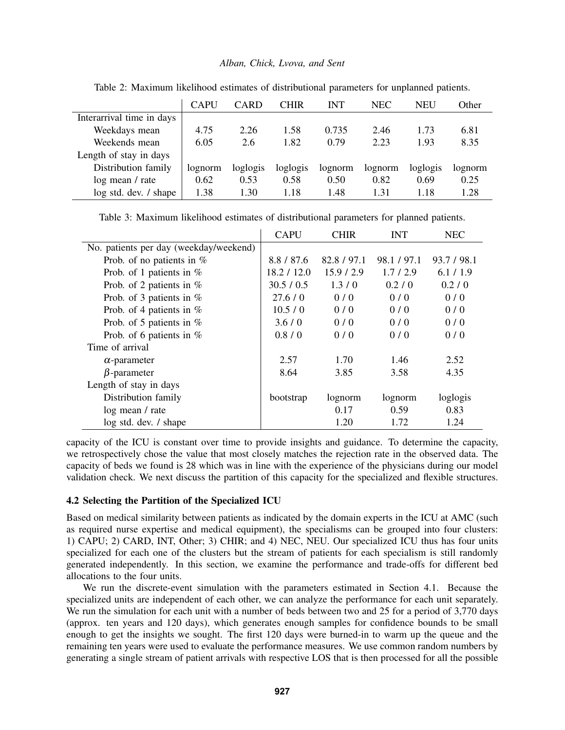|                           | <b>CAPU</b> | <b>CARD</b> | <b>CHIR</b> | <b>INT</b> | <b>NEC</b> | NEU      | Other   |
|---------------------------|-------------|-------------|-------------|------------|------------|----------|---------|
| Interarrival time in days |             |             |             |            |            |          |         |
| Weekdays mean             | 4.75        | 2.26        | 1.58        | 0.735      | 2.46       | 1.73     | 6.81    |
| Weekends mean             | 6.05        | 2.6         | 1.82        | 0.79       | 2.23       | 1.93     | 8.35    |
| Length of stay in days    |             |             |             |            |            |          |         |
| Distribution family       | lognorm     | loglogis    | loglogis    | lognorm    | lognorm    | loglogis | lognorm |
| log mean / rate           | 0.62        | 0.53        | 0.58        | 0.50       | 0.82       | 0.69     | 0.25    |
| log std. dev. / shape     | 1.38        | 1.30        | 1.18        | 1.48       | 1.31       | 1.18     | 1.28    |

<span id="page-5-1"></span>Table 2: Maximum likelihood estimates of distributional parameters for unplanned patients.

<span id="page-5-2"></span>Table 3: Maximum likelihood estimates of distributional parameters for planned patients.

|                                        | <b>CAPU</b> | <b>CHIR</b> | <b>INT</b>  | <b>NEC</b>  |
|----------------------------------------|-------------|-------------|-------------|-------------|
| No. patients per day (weekday/weekend) |             |             |             |             |
| Prob. of no patients in $%$            | 8.8/87.6    | 82.8 / 97.1 | 98.1 / 97.1 | 93.7 / 98.1 |
| Prob. of 1 patients in $%$             | 18.2 / 12.0 | 15.9 / 2.9  | 1.7/2.9     | 6.1/1.9     |
| Prob. of 2 patients in $%$             | 30.5 / 0.5  | 1.3/0       | 0.2 / 0     | 0.2 / 0     |
| Prob. of 3 patients in $%$             | 27.6/0      | 0/0         | 0/0         | 0/0         |
| Prob. of 4 patients in $%$             | 10.5/0      | 0/0         | 0/0         | 0/0         |
| Prob. of 5 patients in $%$             | 3.6/0       | 0/0         | 0/0         | 0/0         |
| Prob. of 6 patients in $%$             | 0.8 / 0     | 0/0         | 0/0         | 0/0         |
| Time of arrival                        |             |             |             |             |
| $\alpha$ -parameter                    | 2.57        | 1.70        | 1.46        | 2.52        |
| $\beta$ -parameter                     | 8.64        | 3.85        | 3.58        | 4.35        |
| Length of stay in days                 |             |             |             |             |
| Distribution family                    | bootstrap   | lognorm     | lognorm     | loglogis    |
| log mean / rate                        |             | 0.17        | 0.59        | 0.83        |
| log std. dev. / shape                  |             | 1.20        | 1.72        | 1.24        |

capacity of the ICU is constant over time to provide insights and guidance. To determine the capacity, we retrospectively chose the value that most closely matches the rejection rate in the observed data. The capacity of beds we found is 28 which was in line with the experience of the physicians during our model validation check. We next discuss the partition of this capacity for the specialized and flexible structures.

### <span id="page-5-0"></span>4.2 Selecting the Partition of the Specialized ICU

Based on medical similarity between patients as indicated by the domain experts in the ICU at AMC (such as required nurse expertise and medical equipment), the specialisms can be grouped into four clusters: 1) CAPU; 2) CARD, INT, Other; 3) CHIR; and 4) NEC, NEU. Our specialized ICU thus has four units specialized for each one of the clusters but the stream of patients for each specialism is still randomly generated independently. In this section, we examine the performance and trade-offs for different bed allocations to the four units.

We run the discrete-event simulation with the parameters estimated in Section [4.1.](#page-4-1) Because the specialized units are independent of each other, we can analyze the performance for each unit separately. We run the simulation for each unit with a number of beds between two and 25 for a period of 3,770 days (approx. ten years and 120 days), which generates enough samples for confidence bounds to be small enough to get the insights we sought. The first 120 days were burned-in to warm up the queue and the remaining ten years were used to evaluate the performance measures. We use common random numbers by generating a single stream of patient arrivals with respective LOS that is then processed for all the possible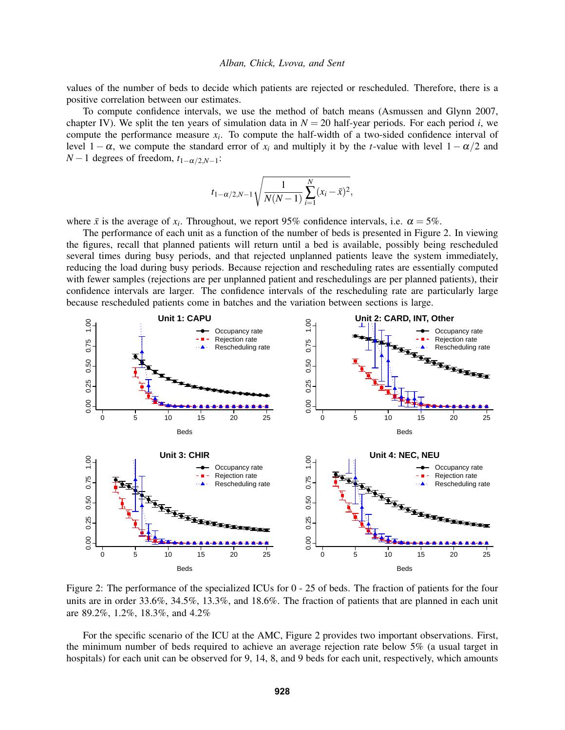values of the number of beds to decide which patients are rejected or rescheduled. Therefore, there is a positive correlation between our estimates.

To compute confidence intervals, we use the method of batch means [\(Asmussen and Glynn 2007,](#page-10-7) chapter IV). We split the ten years of simulation data in  $N = 20$  half-year periods. For each period *i*, we compute the performance measure  $x_i$ . To compute the half-width of a two-sided confidence interval of level  $1 - \alpha$ , we compute the standard error of  $x_i$  and multiply it by the *t*-value with level  $1 - \alpha/2$  and  $N-1$  degrees of freedom,  $t_{1-\alpha/2,N-1}$ :

$$
t_{1-\alpha/2,N-1}\sqrt{\frac{1}{N(N-1)}\sum_{i=1}^{N}(x_i-\bar{x})^2},
$$

where  $\bar{x}$  is the average of  $x_i$ . Throughout, we report 95% confidence intervals, i.e.  $\alpha = 5\%$ .

The performance of each unit as a function of the number of beds is presented in Figure [2.](#page-6-0) In viewing the figures, recall that planned patients will return until a bed is available, possibly being rescheduled several times during busy periods, and that rejected unplanned patients leave the system immediately, reducing the load during busy periods. Because rejection and rescheduling rates are essentially computed with fewer samples (rejections are per unplanned patient and reschedulings are per planned patients), their confidence intervals are larger. The confidence intervals of the rescheduling rate are particularly large because rescheduled patients come in batches and the variation between sections is large.



<span id="page-6-0"></span>Figure 2: The performance of the specialized ICUs for 0 - 25 of beds. The fraction of patients for the four units are in order 33.6%, 34.5%, 13.3%, and 18.6%. The fraction of patients that are planned in each unit are 89.2%, 1.2%, 18.3%, and 4.2%

For the specific scenario of the ICU at the AMC, Figure [2](#page-6-0) provides two important observations. First, the minimum number of beds required to achieve an average rejection rate below 5% (a usual target in hospitals) for each unit can be observed for 9, 14, 8, and 9 beds for each unit, respectively, which amounts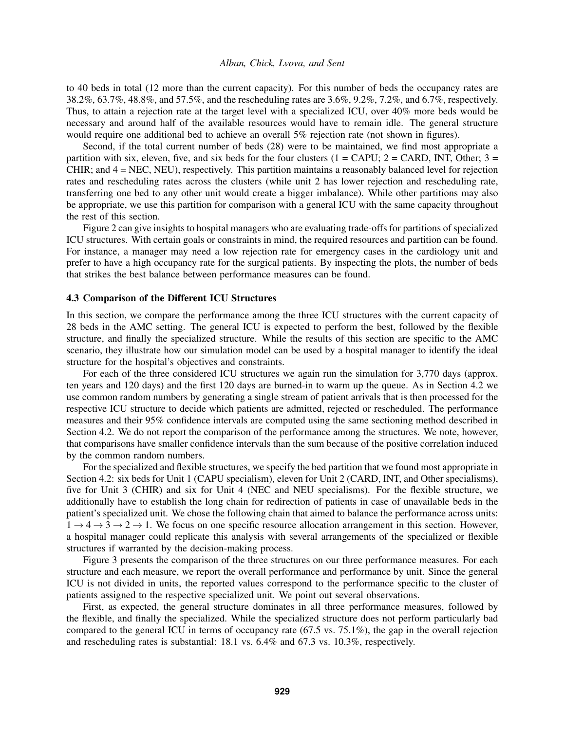to 40 beds in total (12 more than the current capacity). For this number of beds the occupancy rates are 38.2%, 63.7%, 48.8%, and 57.5%, and the rescheduling rates are 3.6%, 9.2%, 7.2%, and 6.7%, respectively. Thus, to attain a rejection rate at the target level with a specialized ICU, over 40% more beds would be necessary and around half of the available resources would have to remain idle. The general structure would require one additional bed to achieve an overall 5% rejection rate (not shown in figures).

Second, if the total current number of beds (28) were to be maintained, we find most appropriate a partition with six, eleven, five, and six beds for the four clusters ( $1 = CAPU$ ;  $2 = CARD$ , INT, Other;  $3 =$ CHIR; and 4 = NEC, NEU), respectively. This partition maintains a reasonably balanced level for rejection rates and rescheduling rates across the clusters (while unit 2 has lower rejection and rescheduling rate, transferring one bed to any other unit would create a bigger imbalance). While other partitions may also be appropriate, we use this partition for comparison with a general ICU with the same capacity throughout the rest of this section.

Figure [2](#page-6-0) can give insights to hospital managers who are evaluating trade-offs for partitions of specialized ICU structures. With certain goals or constraints in mind, the required resources and partition can be found. For instance, a manager may need a low rejection rate for emergency cases in the cardiology unit and prefer to have a high occupancy rate for the surgical patients. By inspecting the plots, the number of beds that strikes the best balance between performance measures can be found.

### <span id="page-7-0"></span>4.3 Comparison of the Different ICU Structures

In this section, we compare the performance among the three ICU structures with the current capacity of 28 beds in the AMC setting. The general ICU is expected to perform the best, followed by the flexible structure, and finally the specialized structure. While the results of this section are specific to the AMC scenario, they illustrate how our simulation model can be used by a hospital manager to identify the ideal structure for the hospital's objectives and constraints.

For each of the three considered ICU structures we again run the simulation for 3,770 days (approx. ten years and 120 days) and the first 120 days are burned-in to warm up the queue. As in Section [4.2](#page-5-0) we use common random numbers by generating a single stream of patient arrivals that is then processed for the respective ICU structure to decide which patients are admitted, rejected or rescheduled. The performance measures and their 95% confidence intervals are computed using the same sectioning method described in Section [4.2.](#page-5-0) We do not report the comparison of the performance among the structures. We note, however, that comparisons have smaller confidence intervals than the sum because of the positive correlation induced by the common random numbers.

For the specialized and flexible structures, we specify the bed partition that we found most appropriate in Section [4.2:](#page-5-0) six beds for Unit 1 (CAPU specialism), eleven for Unit 2 (CARD, INT, and Other specialisms), five for Unit 3 (CHIR) and six for Unit 4 (NEC and NEU specialisms). For the flexible structure, we additionally have to establish the long chain for redirection of patients in case of unavailable beds in the patient's specialized unit. We chose the following chain that aimed to balance the performance across units:  $1 \rightarrow 4 \rightarrow 3 \rightarrow 2 \rightarrow 1$ . We focus on one specific resource allocation arrangement in this section. However, a hospital manager could replicate this analysis with several arrangements of the specialized or flexible structures if warranted by the decision-making process.

Figure [3](#page-8-1) presents the comparison of the three structures on our three performance measures. For each structure and each measure, we report the overall performance and performance by unit. Since the general ICU is not divided in units, the reported values correspond to the performance specific to the cluster of patients assigned to the respective specialized unit. We point out several observations.

First, as expected, the general structure dominates in all three performance measures, followed by the flexible, and finally the specialized. While the specialized structure does not perform particularly bad compared to the general ICU in terms of occupancy rate  $(67.5 \text{ vs. } 75.1\%)$ , the gap in the overall rejection and rescheduling rates is substantial: 18.1 vs. 6.4% and 67.3 vs. 10.3%, respectively.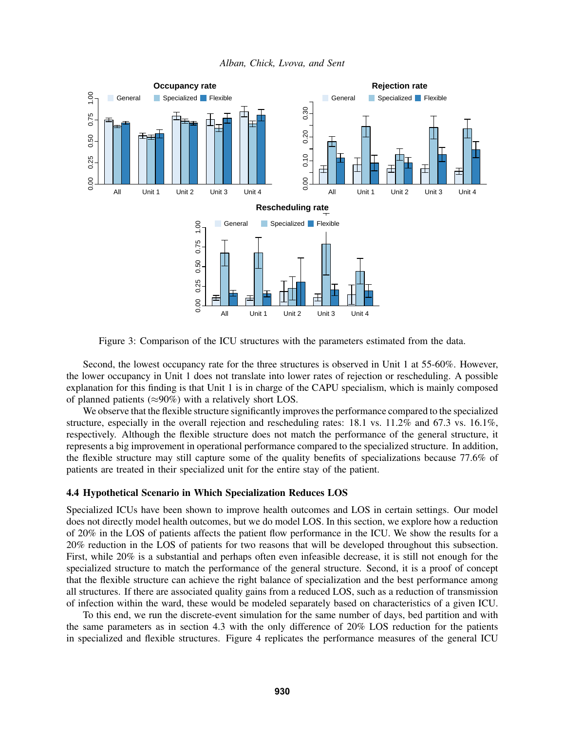

<span id="page-8-1"></span>Figure 3: Comparison of the ICU structures with the parameters estimated from the data.

Second, the lowest occupancy rate for the three structures is observed in Unit 1 at 55-60%. However, the lower occupancy in Unit 1 does not translate into lower rates of rejection or rescheduling. A possible explanation for this finding is that Unit 1 is in charge of the CAPU specialism, which is mainly composed of planned patients ( $\approx 90\%$ ) with a relatively short LOS.

We observe that the flexible structure significantly improves the performance compared to the specialized structure, especially in the overall rejection and rescheduling rates: 18.1 vs. 11.2% and 67.3 vs. 16.1%, respectively. Although the flexible structure does not match the performance of the general structure, it represents a big improvement in operational performance compared to the specialized structure. In addition, the flexible structure may still capture some of the quality benefits of specializations because 77.6% of patients are treated in their specialized unit for the entire stay of the patient.

## <span id="page-8-0"></span>4.4 Hypothetical Scenario in Which Specialization Reduces LOS

Specialized ICUs have been shown to improve health outcomes and LOS in certain settings. Our model does not directly model health outcomes, but we do model LOS. In this section, we explore how a reduction of 20% in the LOS of patients affects the patient flow performance in the ICU. We show the results for a 20% reduction in the LOS of patients for two reasons that will be developed throughout this subsection. First, while 20% is a substantial and perhaps often even infeasible decrease, it is still not enough for the specialized structure to match the performance of the general structure. Second, it is a proof of concept that the flexible structure can achieve the right balance of specialization and the best performance among all structures. If there are associated quality gains from a reduced LOS, such as a reduction of transmission of infection within the ward, these would be modeled separately based on characteristics of a given ICU.

To this end, we run the discrete-event simulation for the same number of days, bed partition and with the same parameters as in section [4.3](#page-7-0) with the only difference of 20% LOS reduction for the patients in specialized and flexible structures. Figure [4](#page-9-1) replicates the performance measures of the general ICU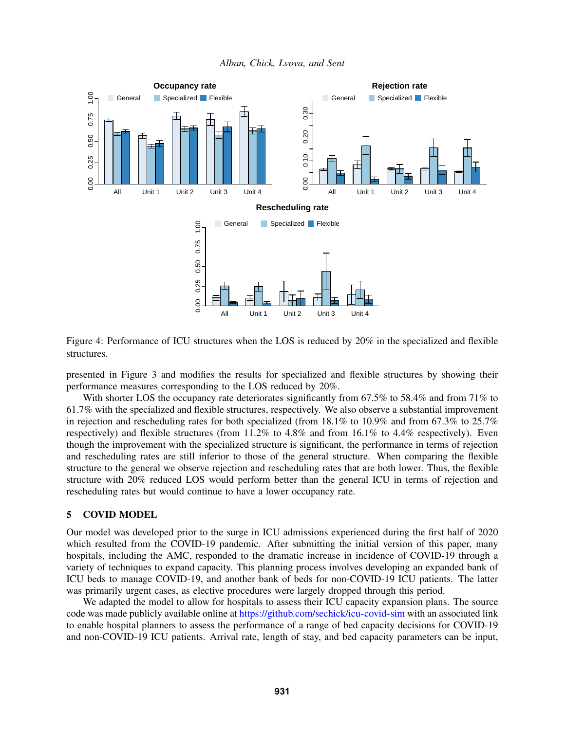

*Alban, Chick, Lvova, and Sent*

<span id="page-9-1"></span>Figure 4: Performance of ICU structures when the LOS is reduced by 20% in the specialized and flexible structures.

presented in Figure [3](#page-8-1) and modifies the results for specialized and flexible structures by showing their performance measures corresponding to the LOS reduced by 20%.

With shorter LOS the occupancy rate deteriorates significantly from 67.5% to 58.4% and from 71% to 61.7% with the specialized and flexible structures, respectively. We also observe a substantial improvement in rejection and rescheduling rates for both specialized (from 18.1% to 10.9% and from 67.3% to 25.7% respectively) and flexible structures (from 11.2% to 4.8% and from 16.1% to 4.4% respectively). Even though the improvement with the specialized structure is significant, the performance in terms of rejection and rescheduling rates are still inferior to those of the general structure. When comparing the flexible structure to the general we observe rejection and rescheduling rates that are both lower. Thus, the flexible structure with 20% reduced LOS would perform better than the general ICU in terms of rejection and rescheduling rates but would continue to have a lower occupancy rate.

# <span id="page-9-0"></span>5 COVID MODEL

Our model was developed prior to the surge in ICU admissions experienced during the first half of 2020 which resulted from the COVID-19 pandemic. After submitting the initial version of this paper, many hospitals, including the AMC, responded to the dramatic increase in incidence of COVID-19 through a variety of techniques to expand capacity. This planning process involves developing an expanded bank of ICU beds to manage COVID-19, and another bank of beds for non-COVID-19 ICU patients. The latter was primarily urgent cases, as elective procedures were largely dropped through this period.

We adapted the model to allow for hospitals to assess their ICU capacity expansion plans. The source code was made publicly available online at <https://github.com/sechick/icu-covid-sim> with an associated link to enable hospital planners to assess the performance of a range of bed capacity decisions for COVID-19 and non-COVID-19 ICU patients. Arrival rate, length of stay, and bed capacity parameters can be input,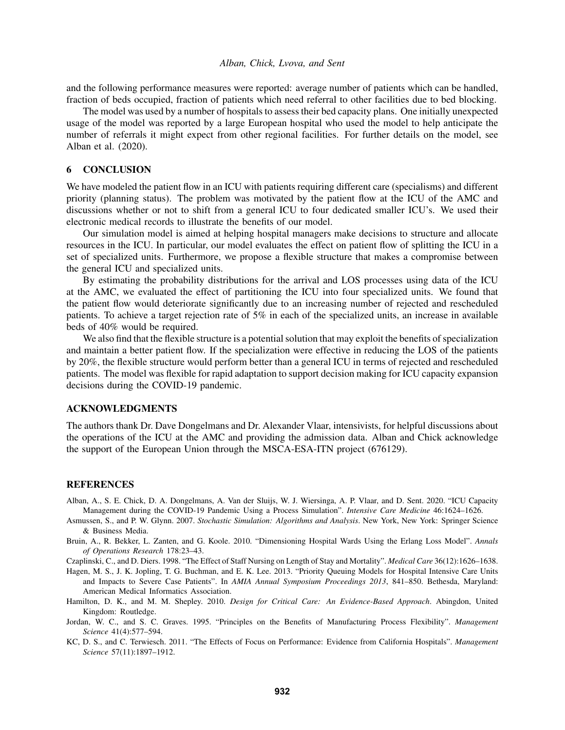and the following performance measures were reported: average number of patients which can be handled, fraction of beds occupied, fraction of patients which need referral to other facilities due to bed blocking.

The model was used by a number of hospitals to assess their bed capacity plans. One initially unexpected usage of the model was reported by a large European hospital who used the model to help anticipate the number of referrals it might expect from other regional facilities. For further details on the model, see [Alban et al. \(2020\).](#page-10-8)

## <span id="page-10-6"></span>6 CONCLUSION

We have modeled the patient flow in an ICU with patients requiring different care (specialisms) and different priority (planning status). The problem was motivated by the patient flow at the ICU of the AMC and discussions whether or not to shift from a general ICU to four dedicated smaller ICU's. We used their electronic medical records to illustrate the benefits of our model.

Our simulation model is aimed at helping hospital managers make decisions to structure and allocate resources in the ICU. In particular, our model evaluates the effect on patient flow of splitting the ICU in a set of specialized units. Furthermore, we propose a flexible structure that makes a compromise between the general ICU and specialized units.

By estimating the probability distributions for the arrival and LOS processes using data of the ICU at the AMC, we evaluated the effect of partitioning the ICU into four specialized units. We found that the patient flow would deteriorate significantly due to an increasing number of rejected and rescheduled patients. To achieve a target rejection rate of 5% in each of the specialized units, an increase in available beds of 40% would be required.

We also find that the flexible structure is a potential solution that may exploit the benefits of specialization and maintain a better patient flow. If the specialization were effective in reducing the LOS of the patients by 20%, the flexible structure would perform better than a general ICU in terms of rejected and rescheduled patients. The model was flexible for rapid adaptation to support decision making for ICU capacity expansion decisions during the COVID-19 pandemic.

### ACKNOWLEDGMENTS

The authors thank Dr. Dave Dongelmans and Dr. Alexander Vlaar, intensivists, for helpful discussions about the operations of the ICU at the AMC and providing the admission data. Alban and Chick acknowledge the support of the European Union through the MSCA-ESA-ITN project (676129).

### **REFERENCES**

- <span id="page-10-8"></span>Alban, A., S. E. Chick, D. A. Dongelmans, A. Van der Sluijs, W. J. Wiersinga, A. P. Vlaar, and D. Sent. 2020. "ICU Capacity Management during the COVID-19 Pandemic Using a Process Simulation". *Intensive Care Medicine* 46:1624–1626.
- <span id="page-10-7"></span>Asmussen, S., and P. W. Glynn. 2007. *Stochastic Simulation: Algorithms and Analysis*. New York, New York: Springer Science & Business Media.
- <span id="page-10-5"></span>Bruin, A., R. Bekker, L. Zanten, and G. Koole. 2010. "Dimensioning Hospital Wards Using the Erlang Loss Model". *Annals of Operations Research* 178:23–43.
- <span id="page-10-1"></span>Czaplinski, C., and D. Diers. 1998. "The Effect of Staff Nursing on Length of Stay and Mortality". *Medical Care* 36(12):1626–1638.
- <span id="page-10-2"></span>Hagen, M. S., J. K. Jopling, T. G. Buchman, and E. K. Lee. 2013. "Priority Queuing Models for Hospital Intensive Care Units and Impacts to Severe Case Patients". In *AMIA Annual Symposium Proceedings 2013*, 841–850. Bethesda, Maryland: American Medical Informatics Association.
- <span id="page-10-0"></span>Hamilton, D. K., and M. M. Shepley. 2010. *Design for Critical Care: An Evidence-Based Approach*. Abingdon, United Kingdom: Routledge.
- <span id="page-10-4"></span>Jordan, W. C., and S. C. Graves. 1995. "Principles on the Benefits of Manufacturing Process Flexibility". *Management Science* 41(4):577–594.
- <span id="page-10-3"></span>KC, D. S., and C. Terwiesch. 2011. "The Effects of Focus on Performance: Evidence from California Hospitals". *Management Science* 57(11):1897–1912.